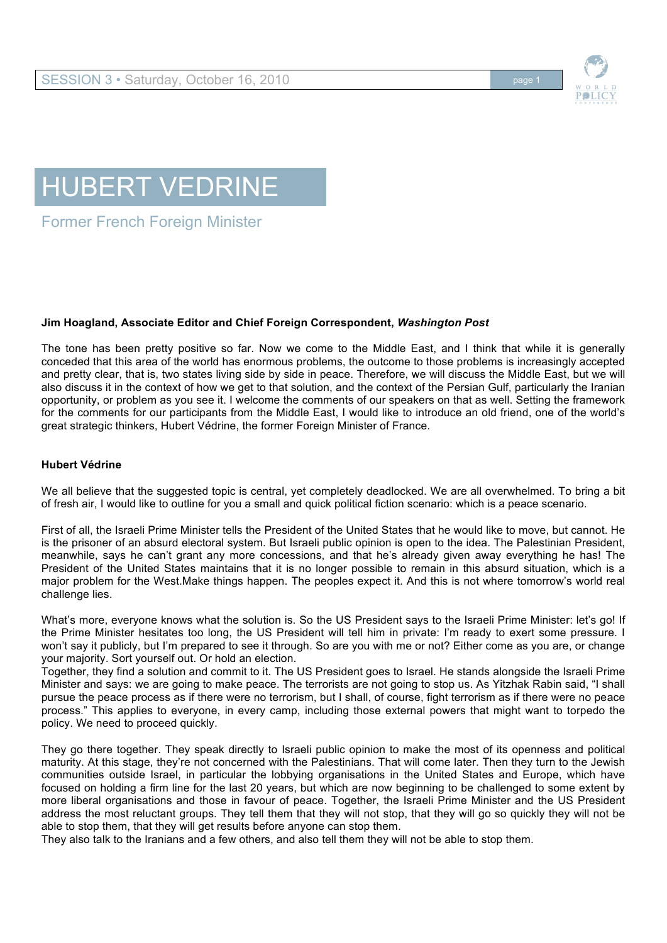



Former French Foreign Minister

## **Jim Hoagland, Associate Editor and Chief Foreign Correspondent,** *Washington Post*

The tone has been pretty positive so far. Now we come to the Middle East, and I think that while it is generally conceded that this area of the world has enormous problems, the outcome to those problems is increasingly accepted and pretty clear, that is, two states living side by side in peace. Therefore, we will discuss the Middle East, but we will also discuss it in the context of how we get to that solution, and the context of the Persian Gulf, particularly the Iranian opportunity, or problem as you see it. I welcome the comments of our speakers on that as well. Setting the framework for the comments for our participants from the Middle East, I would like to introduce an old friend, one of the world's great strategic thinkers, Hubert Védrine, the former Foreign Minister of France.

## **Hubert Védrine**

We all believe that the suggested topic is central, yet completely deadlocked. We are all overwhelmed. To bring a bit of fresh air, I would like to outline for you a small and quick political fiction scenario: which is a peace scenario.

First of all, the Israeli Prime Minister tells the President of the United States that he would like to move, but cannot. He is the prisoner of an absurd electoral system. But Israeli public opinion is open to the idea. The Palestinian President, meanwhile, says he can't grant any more concessions, and that he's already given away everything he has! The President of the United States maintains that it is no longer possible to remain in this absurd situation, which is a major problem for the West.Make things happen. The peoples expect it. And this is not where tomorrow's world real challenge lies.

What's more, everyone knows what the solution is. So the US President says to the Israeli Prime Minister: let's go! If the Prime Minister hesitates too long, the US President will tell him in private: I'm ready to exert some pressure. I won't say it publicly, but I'm prepared to see it through. So are you with me or not? Either come as you are, or change your majority. Sort yourself out. Or hold an election.

Together, they find a solution and commit to it. The US President goes to Israel. He stands alongside the Israeli Prime Minister and says: we are going to make peace. The terrorists are not going to stop us. As Yitzhak Rabin said, "I shall pursue the peace process as if there were no terrorism, but I shall, of course, fight terrorism as if there were no peace process." This applies to everyone, in every camp, including those external powers that might want to torpedo the policy. We need to proceed quickly.

They go there together. They speak directly to Israeli public opinion to make the most of its openness and political maturity. At this stage, they're not concerned with the Palestinians. That will come later. Then they turn to the Jewish communities outside Israel, in particular the lobbying organisations in the United States and Europe, which have focused on holding a firm line for the last 20 years, but which are now beginning to be challenged to some extent by more liberal organisations and those in favour of peace. Together, the Israeli Prime Minister and the US President address the most reluctant groups. They tell them that they will not stop, that they will go so quickly they will not be able to stop them, that they will get results before anyone can stop them.

They also talk to the Iranians and a few others, and also tell them they will not be able to stop them.